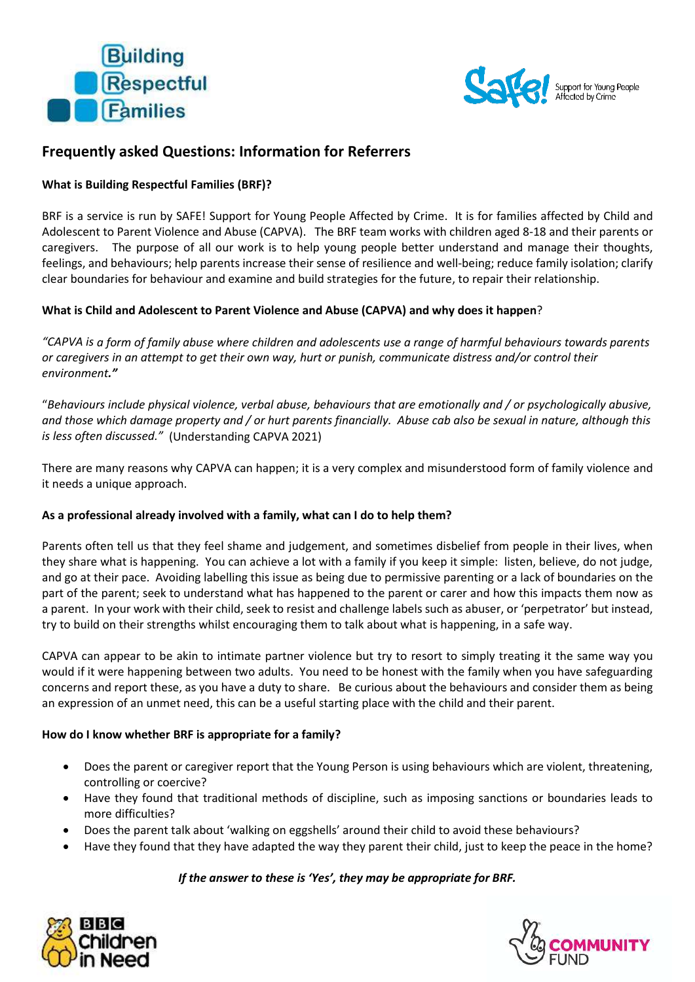



# **Frequently asked Questions: Information for Referrers**

# **What is Building Respectful Families (BRF)?**

BRF is a service is run by SAFE! Support for Young People Affected by Crime. It is for families affected by Child and Adolescent to Parent Violence and Abuse (CAPVA). The BRF team works with children aged 8-18 and their parents or caregivers. The purpose of all our work is to help young people better understand and manage their thoughts, feelings, and behaviours; help parents increase their sense of resilience and well-being; reduce family isolation; clarify clear boundaries for behaviour and examine and build strategies for the future, to repair their relationship.

## **What is Child and Adolescent to Parent Violence and Abuse (CAPVA) and why does it happen**?

"CAPVA is a form of family abuse where children and adolescents use a range of harmful behaviours towards parents *or caregivers in an attempt to get their own way, hurt or punish, communicate distress and/or control their environment."*

"*Behaviours include physical violence, verbal abuse, behaviours that are emotionally and / or psychologically abusive, and those which damage property and / or hurt parents financially. Abuse cab also be sexual in nature, although this is less often discussed."* (Understanding CAPVA 2021)

There are many reasons why CAPVA can happen; it is a very complex and misunderstood form of family violence and it needs a unique approach.

### **As a professional already involved with a family, what can I do to help them?**

Parents often tell us that they feel shame and judgement, and sometimes disbelief from people in their lives, when they share what is happening. You can achieve a lot with a family if you keep it simple: listen, believe, do not judge, and go at their pace. Avoiding labelling this issue as being due to permissive parenting or a lack of boundaries on the part of the parent; seek to understand what has happened to the parent or carer and how this impacts them now as a parent. In your work with their child, seek to resist and challenge labels such as abuser, or 'perpetrator' but instead, try to build on their strengths whilst encouraging them to talk about what is happening, in a safe way.

CAPVA can appear to be akin to intimate partner violence but try to resort to simply treating it the same way you would if it were happening between two adults. You need to be honest with the family when you have safeguarding concerns and report these, as you have a duty to share. Be curious about the behaviours and consider them as being an expression of an unmet need, this can be a useful starting place with the child and their parent.

### **How do I know whether BRF is appropriate for a family?**

- Does the parent or caregiver report that the Young Person is using behaviours which are violent, threatening, controlling or coercive?
- Have they found that traditional methods of discipline, such as imposing sanctions or boundaries leads to more difficulties?
- Does the parent talk about 'walking on eggshells' around their child to avoid these behaviours?
- Have they found that they have adapted the way they parent their child, just to keep the peace in the home?

### *If the answer to these is 'Yes', they may be appropriate for BRF.*